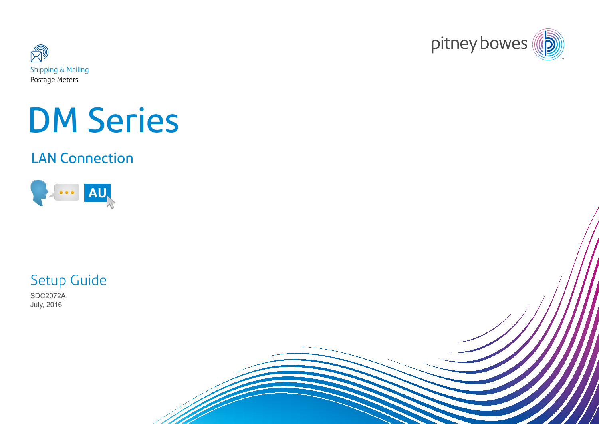



# DM Series

# LAN Connection



Setup Guide

SDC2072A July, 2016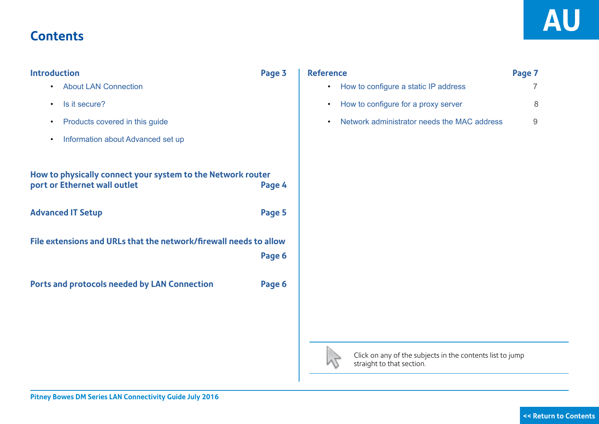## <span id="page-1-0"></span>**Contents**

| <b>Introduction</b>                                                                         | Page 3 | <b>Reference</b>                                                                       | Page 7         |
|---------------------------------------------------------------------------------------------|--------|----------------------------------------------------------------------------------------|----------------|
| <b>About LAN Connection</b><br>$\bullet$                                                    |        | How to configure a static IP address<br>$\bullet$                                      | $\overline{7}$ |
| Is it secure?<br>$\bullet$                                                                  |        | How to configure for a proxy server<br>$\bullet$                                       | 8              |
| Products covered in this guide<br>$\bullet$                                                 |        | Network administrator needs the MAC address<br>$\bullet$                               | 9              |
| Information about Advanced set up<br>$\bullet$                                              |        |                                                                                        |                |
| How to physically connect your system to the Network router<br>port or Ethernet wall outlet | Page 4 |                                                                                        |                |
| <b>Advanced IT Setup</b>                                                                    | Page 5 |                                                                                        |                |
| File extensions and URLs that the network/firewall needs to allow                           | Page 6 |                                                                                        |                |
| Ports and protocols needed by LAN Connection                                                | Page 6 |                                                                                        |                |
|                                                                                             |        |                                                                                        |                |
|                                                                                             |        |                                                                                        |                |
|                                                                                             |        | Click on any of the subjects in the contents list to jump<br>straight to that section. |                |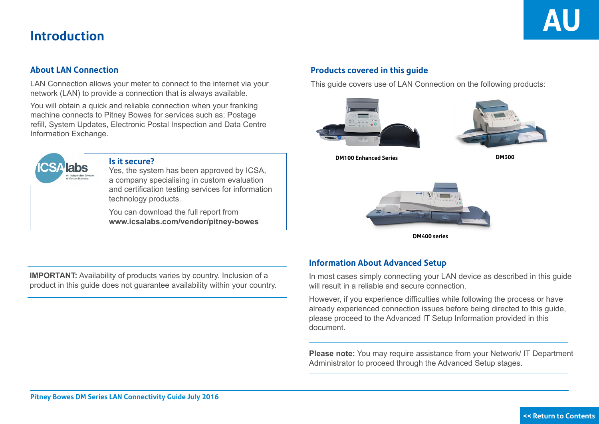#### <span id="page-2-0"></span>**About LAN Connection**

LAN Connection allows your meter to connect to the internet via your network (LAN) to provide a connection that is always available.

You will obtain a quick and reliable connection when your franking machine connects to Pitney Bowes for services such as; Postage refill, System Updates, Electronic Postal Inspection and Data Centre Information Exchange.



### **Is it secure?**

Yes, the system has been approved by ICSA, a company specialising in custom evaluation and certification testing services for information technology products.

You can download the full report from **www.icsalabs.com/vendor/pitney-bowes**

### **Products covered in this guide**

This guide covers use of LAN Connection on the following products:





**DM100 Enhanced Series**

**DM300**



**DM400 series**

**IMPORTANT:** Availability of products varies by country. Inclusion of a product in this guide does not guarantee availability within your country.

## **Information About Advanced Setup**

In most cases simply connecting your LAN device as described in this guide will result in a reliable and secure connection.

However, if you experience difficulties while following the process or have already experienced connection issues before being directed to this guide, please proceed to the Advanced IT Setup Information provided in this document.

**Please note:** You may require assistance from your Network/ IT Department Administrator to proceed through the Advanced Setup stages.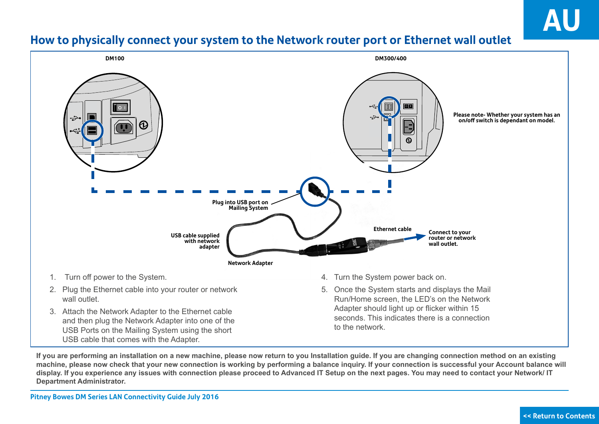## <span id="page-3-0"></span>**How to physically connect your system to the Network router port or Ethernet wall outlet**



**If you are performing an installation on a new machine, please now return to you Installation guide. If you are changing connection method on an existing machine, please now check that your new connection is working by performing a balance inquiry. If your connection is successful your Account balance will display. If you experience any issues with connection please proceed to Advanced IT Setup on the next pages. You may need to contact your Network/ IT Department Administrator.**

**Pitney Bowes DM Series LAN Connectivity Guide July 2016**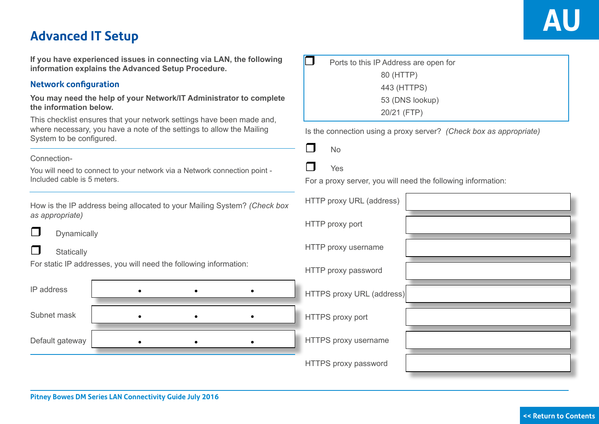# <span id="page-4-0"></span>**Advanced IT Setup AU**

**If you have experienced issues in connecting via LAN, the following information explains the Advanced Setup Procedure.**

## **Network configuration**

**You may need the help of your Network/IT Administrator to complete the information below.**

This checklist ensures that your network settings have been made and, where necessary, you have a note of the settings to allow the Mailing System to be configured.

#### Connection-

You will need to connect to your network via a Network connection point - Included cable is 5 meters.

How is the IP address being allocated to your Mailing System? *as appropriate)*



 $\Box$  Dynamically

#### $\Box$  Statically

For static IP addresses, you will need the following information:

| IP address      |  |  | HTTPS proxy URL (address) |  |
|-----------------|--|--|---------------------------|--|
|                 |  |  |                           |  |
| Subnet mask     |  |  | <b>HTTPS</b> proxy port   |  |
|                 |  |  |                           |  |
| Default gateway |  |  | HTTPS proxy username      |  |
|                 |  |  |                           |  |
|                 |  |  | HTTPS proxy password      |  |

| Ports to this IP Address are open for |  |
|---------------------------------------|--|
| 80 (HTTP)                             |  |
| 443 (HTTPS)                           |  |
| 53 (DNS lookup)                       |  |
| 20/21 (FTP)                           |  |

Is the connection using a proxy server? *(Check box as appropriate)*

|--|



For a proxy server, you will need the following information:

| tem? (Check box | HTTP proxy URL (address)  |  |
|-----------------|---------------------------|--|
|                 | HTTP proxy port           |  |
|                 | HTTP proxy username       |  |
| ation:          | HTTP proxy password       |  |
|                 | HTTPS proxy URL (address) |  |
|                 | HTTPS proxy port          |  |
|                 | HTTPS proxy username      |  |
|                 | HTTPS proxy password      |  |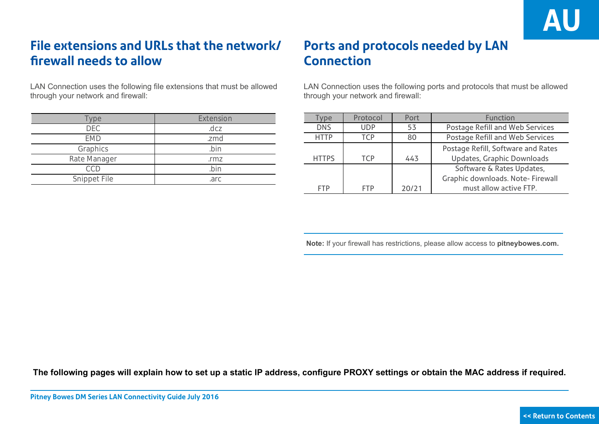# <span id="page-5-0"></span>**File extensions and URLs that the network/ firewall needs to allow**

LAN Connection uses the following file extensions that must be allowed through your network and firewall:

| ype          | Extension |
|--------------|-----------|
| DEC.         | .dcz      |
| <b>FMD</b>   | .zmd      |
| Graphics     | hin       |
| Rate Manager | .rmz      |
|              |           |
| Snippet File | .arc      |

# **Ports and protocols needed by LAN Connection**

LAN Connection uses the following ports and protocols that must be allowed through your network and firewall:

| <b>VDe</b>   | Protocol   | Port  | Function                           |
|--------------|------------|-------|------------------------------------|
| <b>DNS</b>   | <b>UDP</b> | 53    | Postage Refill and Web Services    |
| <b>HTTP</b>  | TCP        | 80    | Postage Refill and Web Services    |
|              |            |       | Postage Refill, Software and Rates |
| <b>HTTPS</b> | <b>TCP</b> | 443   | Updates, Graphic Downloads         |
|              |            |       | Software & Rates Updates,          |
|              |            |       | Graphic downloads. Note- Firewall  |
| <b>FTP</b>   | <b>FTP</b> | 20/21 | must allow active FTP.             |

 **Note:** If your firewall has restrictions, please allow access to **pitneybowes.com.**

**The following pages will explain how to set up a static IP address, configure PROXY settings or obtain the MAC address if required.**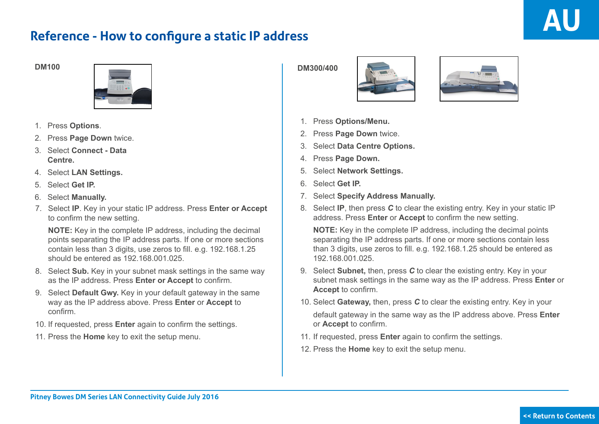## <span id="page-6-0"></span>**Reference - How to configure a static IP address**



- 1. Press **Options**.
- 2. Press **Page Down** twice.
- 3. Select **Connect Data Centre.**
- 4. Select **LAN Settings.**
- 5. Select **Get IP.**
- 6. Select **Manually.**
- 7. Select **IP**. Key in your static IP address. Press **Enter or Accept**  to confirm the new setting.

**NOTE:** Key in the complete IP address, including the decimal points separating the IP address parts. If one or more sections contain less than 3 digits, use zeros to fill. e.g. 192.168.1.25 should be entered as 192.168.001.025.

- 8. Select **Sub.** Key in your subnet mask settings in the same way as the IP address. Press **Enter or Accept** to confirm.
- 9. Select **Default Gwy.** Key in your default gateway in the same way as the IP address above. Press **Enter** or **Accept** to confirm.
- 10. If requested, press **Enter** again to confirm the settings.
- 11. Press the **Home** key to exit the setup menu.





- 1. Press **Options/Menu.**
- 2. Press **Page Down** twice.
- 3. Select **Data Centre Options.**
- 4. Press **Page Down.**
- 5. Select **Network Settings.**
- 6. Select **Get IP.**
- 7. Select **Specify Address Manually.**
- 8. Select **IP**, then press *C* to clear the existing entry. Key in your static IP address. Press **Enter** or **Accept** to confirm the new setting.

**NOTE:** Key in the complete IP address, including the decimal points separating the IP address parts. If one or more sections contain less than 3 digits, use zeros to fill. e.g. 192.168.1.25 should be entered as 192.168.001.025.

- 9. Select **Subnet,** then, press *C* to clear the existing entry. Key in your subnet mask settings in the same way as the IP address. Press **Enter** or **Accept** to confirm.
- 10. Select **Gateway,** then, press *C* to clear the existing entry. Key in your

default gateway in the same way as the IP address above. Press **Enter**  or **Accept** to confirm.

- 11. If requested, press **Enter** again to confirm the settings.
- 12. Press the **Home** key to exit the setup menu.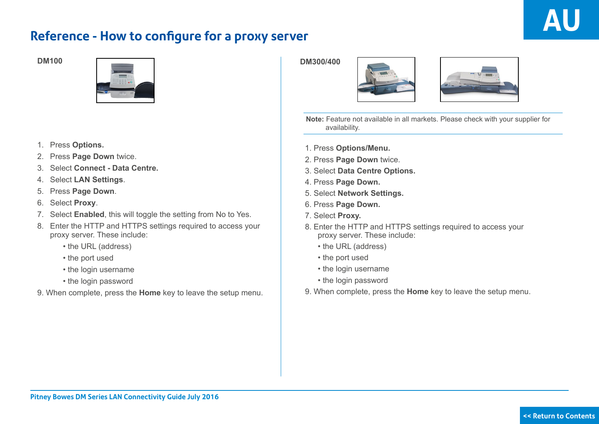## <span id="page-7-0"></span>**Reference - How to configure for a proxy server**



- 1. Press **Options.**
- 2. Press **Page Down** twice.
- 3. Select **Connect Data Centre.**
- 4. Select **LAN Settings**.
- 5. Press **Page Down**.
- 6. Select **Proxy**.
- 7. Select **Enabled**, this will toggle the setting from No to Yes.
- 8. Enter the HTTP and HTTPS settings required to access your proxy server. These include:
	- the URL (address)
	- the port used
	- the login username
	- the login password
- 9. When complete, press the **Home** key to leave the setup menu.





 **Note:** Feature not available in all markets. Please check with your supplier for availability.

- 1. Press **Options/Menu.**
- 2. Press **Page Down** twice.
- 3. Select **Data Centre Options.**
- 4. Press **Page Down.**
- 5. Select **Network Settings.**
- 6. Press **Page Down.**
- 7. Select **Proxy.**
- 8. Enter the HTTP and HTTPS settings required to access your proxy server. These include:
	- the URL (address)
	- the port used
	- the login username
	- the login password
- 9. When complete, press the **Home** key to leave the setup menu.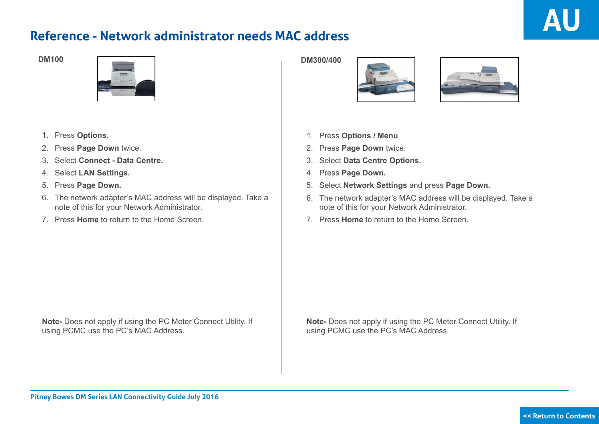## <span id="page-8-0"></span>**Reference - Network administrator needs MAC address**



- 1. Press **Options**.
- 2. Press **Page Down** twice.
- 3. Select **Connect Data Centre.**
- 4. Select **LAN Settings.**
- 5. Press **Page Down.**
- 6. The network adapter's MAC address will be displayed. Take a note of this for your Network Administrator.
- 7. Press **Home** to return to the Home Screen.





- 1. Press **Options / Menu**
- 2. Press **Page Down** twice.
- 3. Select **Data Centre Options.**
- 4. Press **Page Down.**
- 5. Select **Network Settings** and press **Page Down.**
- 6. The network adapter's MAC address will be displayed. Take a note of this for your Network Administrator.
- 7. Press **Home** to return to the Home Screen.

**Note-** Does not apply if using the PC Meter Connect Utility. If using PCMC use the PC's MAC Address.

**Note-** Does not apply if using the PC Meter Connect Utility. If using PCMC use the PC's MAC Address.